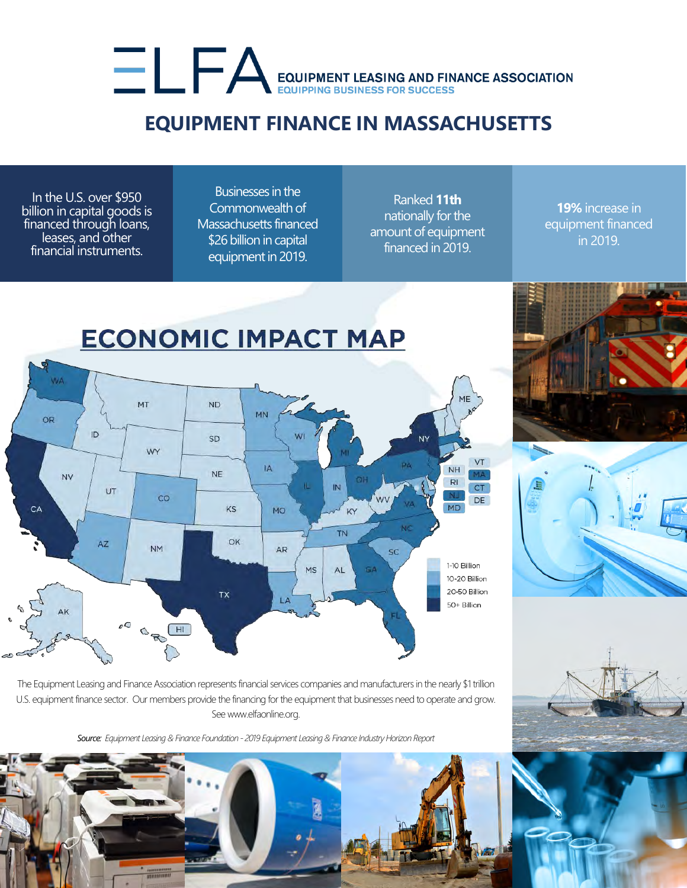## EQUIPMENT LEASING AND FINANCE ASSOCIATION

## **EQUIPMENT FINANCE IN MASSACHUSETTS**

In the U.S. over \$950 billion in capital goods is financed through loans, leases, and other financial instruments.

Businesses in the Commonwealth of Massachusetts financed \$26 billion in capital equipment in 2019.

Ranked **11th** nationally for the amount of equipment financed in 2019.

**19%** increase in equipment financed in 2019.







The Equipment Leasing and Finance Association represents financial services companies and manufacturers in the nearly \$1 trillion U.S. equipment finance sector. Our members provide the financing for the equipment that businesses need to operate and grow. See www.elfaonline.org.

*Source: Equipment Leasing & Finance Foundation - 2019 Equipment Leasing & Finance Industry Horizon Report*